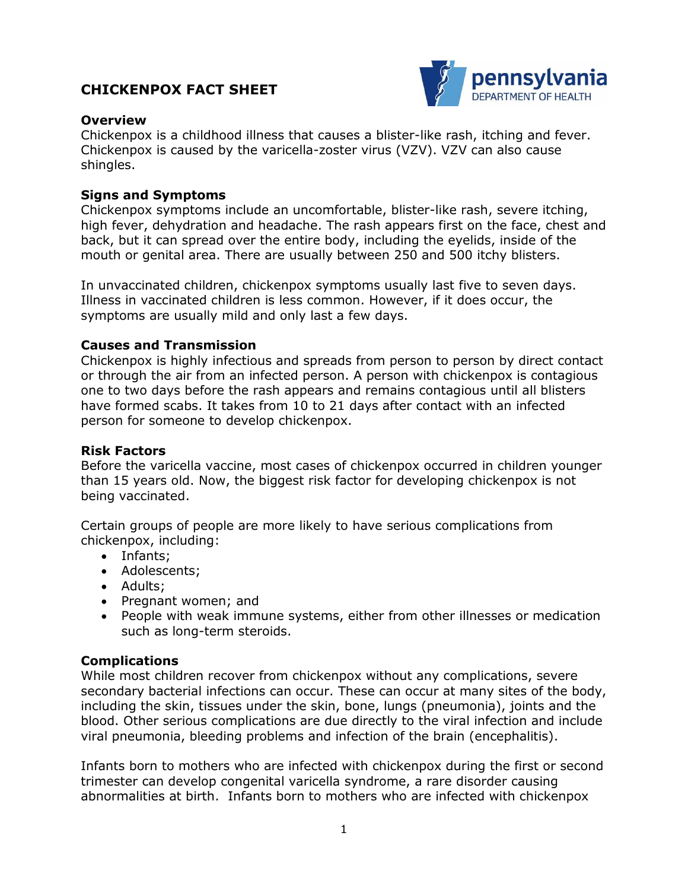# **CHICKENPOX FACT SHEET**



## **Overview**

Chickenpox is a childhood illness that causes a blister-like rash, itching and fever. Chickenpox is caused by the varicella-zoster virus (VZV). VZV can also cause shingles.

## **Signs and Symptoms**

Chickenpox symptoms include an uncomfortable, blister-like rash, severe itching, high fever, dehydration and headache. The rash appears first on the face, chest and back, but it can spread over the entire body, including the eyelids, inside of the mouth or genital area. There are usually between 250 and 500 itchy blisters.

In unvaccinated children, chickenpox symptoms usually last five to seven days. Illness in vaccinated children is less common. However, if it does occur, the symptoms are usually mild and only last a few days.

## **Causes and Transmission**

Chickenpox is highly infectious and spreads from person to person by direct contact or through the air from an infected person. A person with chickenpox is contagious one to two days before the rash appears and remains contagious until all blisters have formed scabs. It takes from 10 to 21 days after contact with an infected person for someone to develop chickenpox.

#### **Risk Factors**

Before the varicella vaccine, most cases of chickenpox occurred in children younger than 15 years old. Now, the biggest risk factor for developing chickenpox is not being vaccinated.

Certain groups of people are more likely to have serious complications from chickenpox, including:

- Infants;
- Adolescents;
- Adults;
- Pregnant women; and
- People with weak immune systems, either from other illnesses or medication such as long-term steroids.

#### **Complications**

While most children recover from chickenpox without any complications, severe secondary bacterial infections can occur. These can occur at many sites of the body, including the skin, tissues under the skin, bone, lungs (pneumonia), joints and the blood. Other serious complications are due directly to the viral infection and include viral pneumonia, bleeding problems and infection of the brain (encephalitis).

Infants born to mothers who are infected with chickenpox during the first or second trimester can develop congenital varicella syndrome, a rare disorder causing abnormalities at birth. Infants born to mothers who are infected with chickenpox